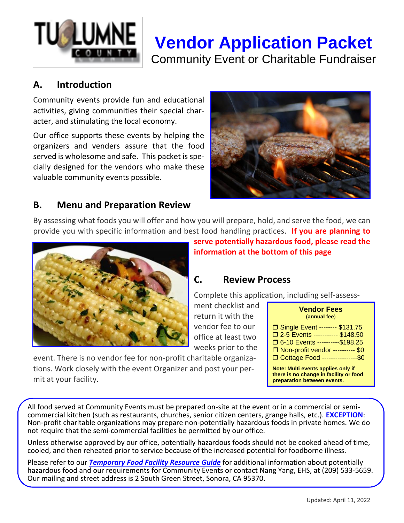# **Vendor Application Packet** Community Event or Charitable Fundraiser

#### **A. Introduction**

Community events provide fun and educational activities, giving communities their special character, and stimulating the local economy.

Our office supports these events by helping the organizers and venders assure that the food served is wholesome and safe. This packet is specially designed for the vendors who make these valuable community events possible.



#### **B. Menu and Preparation Review**

By assessing what foods you will offer and how you will prepare, hold, and serve the food, we can provide you with specific information and best food handling practices. **If you are planning to** 



**serve potentially hazardous food, please read the information at the bottom of this page**

#### **C. Review Process**

Complete this application, including self-assess-

ment checklist and return it with the vendor fee to our office at least two weeks prior to the

| event. There is no vendor fee for non-profit charitable organiza- |
|-------------------------------------------------------------------|
| tions. Work closely with the event Organizer and post your per-   |
| mit at your facility.                                             |

| Vendor Fees  |  |
|--------------|--|
| (annual fee) |  |

| □ Single Event -------- \$131.75   |
|------------------------------------|
| □ 2-5 Events ---------- \$148.50   |
| □ 6-10 Events ----------\$198.25   |
| □ Non-profit vendor ---------- \$0 |
| □ Cottage Food ----------------\$0 |
|                                    |

**Note: Multi events applies only if there is no change in facility or food preparation between events.**

All food served at Community Events must be prepared on-site at the event or in a commercial or semicommercial kitchen (such as restaurants, churches, senior citizen centers, grange halls, etc.). **EXCEPTION**: Non-profit charitable organizations may prepare non-potentially hazardous foods in private homes. We do not require that the semi-commercial facilities be permitted by our office.

Unless otherwise approved by our office, potentially hazardous foods should not be cooked ahead of time, cooled, and then reheated prior to service because of the increased potential for foodborne illness.

Please refer to our *Temporary Food Facility Resource Guide* for additional information about potentially hazardous food and our requirements for Community Events or contact Nang Yang, EHS, at (209) 533-5659. Our mailing and street address is 2 South Green Street, Sonora, CA 95370.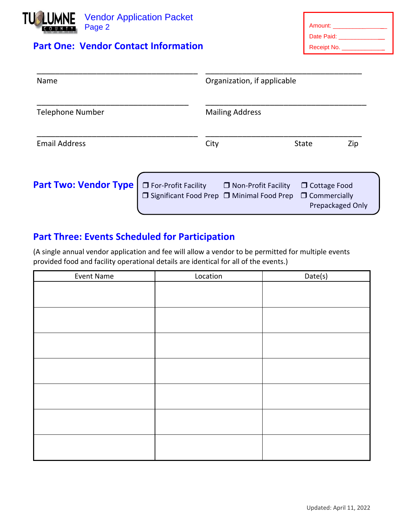

### **Part One: Vendor Contact Information**

| Amount:     |
|-------------|
| Date Paid:  |
| Receipt No. |

| Name                         |                                                                      | Organization, if applicable                                                                  |  |  |
|------------------------------|----------------------------------------------------------------------|----------------------------------------------------------------------------------------------|--|--|
| <b>Telephone Number</b>      | <b>Mailing Address</b>                                               |                                                                                              |  |  |
| <b>Email Address</b>         | City                                                                 | <b>State</b><br>Zip                                                                          |  |  |
| <b>Part Two: Vendor Type</b> | □ For-Profit Facility<br>□ Significant Food Prep □ Minimal Food Prep | $\Box$ Non-Profit Facility<br>$\Box$ Cottage Food<br>$\Box$ Commercially<br>Prepackaged Only |  |  |

## **Part Three: Events Scheduled for Participation**

(A single annual vendor application and fee will allow a vendor to be permitted for multiple events provided food and facility operational details are identical for all of the events.)

| Event Name | Location | Date(s) |
|------------|----------|---------|
|            |          |         |
|            |          |         |
|            |          |         |
|            |          |         |
|            |          |         |
|            |          |         |
|            |          |         |
|            |          |         |
|            |          |         |
|            |          |         |
|            |          |         |
|            |          |         |
|            |          |         |
|            |          |         |
|            |          |         |
|            |          |         |
|            |          |         |
|            |          |         |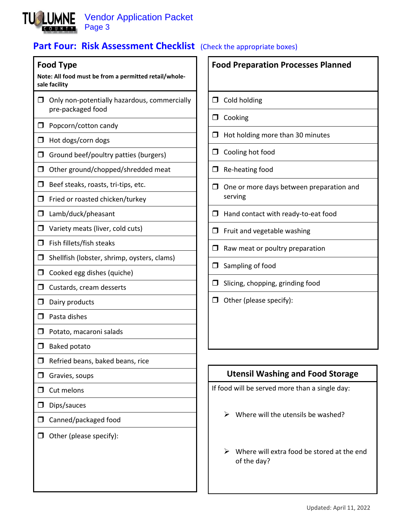

## **Part Four: Risk Assessment Checklist** (Check the appropriate boxes)

#### **Food Type**

**Note: All food must be from a permitted retail/wholesale facility**

- $\Box$  Only non-potentially hazardous, commercially pre-packaged food
- $\Box$  Popcorn/cotton candy
- $\Box$  Hot dogs/corn dogs
- $\Box$  Ground beef/poultry patties (burgers)
- $\Box$  Other ground/chopped/shredded meat
- $\Box$  Beef steaks, roasts, tri-tips, etc.
- $\Box$  Fried or roasted chicken/turkey
- □ Lamb/duck/pheasant
- $\Box$  Variety meats (liver, cold cuts)
- $\Box$  Fish fillets/fish steaks
- $\Box$  Shellfish (lobster, shrimp, oysters, clams)
- $\Box$  Cooked egg dishes (quiche)
- $\Box$  Custards, cream desserts
- $\Box$  Dairy products
- $\Box$  Pasta dishes
- $\Box$  Potato, macaroni salads
- $\Box$  Baked potato
- $\Box$  Refried beans, baked beans, rice
- $\Box$  Gravies, soups
- $\Box$  Cut melons
- $\square$  Dips/sauces
- □ Canned/packaged food
- $\Box$  Other (please specify):

**Food Preparation Processes Planned**  $\Box$  Cold holding  $\Box$  Cooking  $\Box$  Hot holding more than 30 minutes  $\Box$  Cooling hot food  $\Box$  Re-heating food  $\Box$  One or more days between preparation and serving  $\Box$  Hand contact with ready-to-eat food  $\Box$  Fruit and vegetable washing  $\Box$  Raw meat or poultry preparation  $\Box$  Sampling of food  $\Box$  Slicing, chopping, grinding food  $\Box$  Other (please specify):

## **Utensil Washing and Food Storage**

If food will be served more than a single day:

- $\triangleright$  Where will the utensils be washed?
- $\triangleright$  Where will extra food be stored at the end of the day?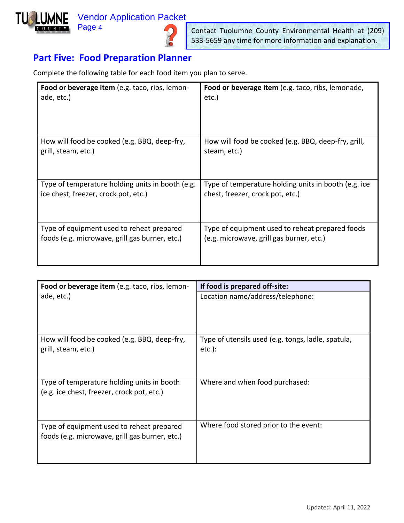## Vendor Application Packet



Page 4



Contact Tuolumne County Environmental Health at (209) 533-5659 any time for more information and explanation.

## **Part Five: Food Preparation Planner**

Complete the following table for each food item you plan to serve.

| Food or beverage item (e.g. taco, ribs, lemon-   | Food or beverage item (e.g. taco, ribs, lemonade,    |
|--------------------------------------------------|------------------------------------------------------|
| ade, etc.)                                       | etc.)                                                |
| How will food be cooked (e.g. BBQ, deep-fry,     | How will food be cooked (e.g. BBQ, deep-fry, grill,  |
| grill, steam, etc.)                              | steam, etc.)                                         |
| Type of temperature holding units in booth (e.g. | Type of temperature holding units in booth (e.g. ice |
| ice chest, freezer, crock pot, etc.)             | chest, freezer, crock pot, etc.)                     |
| Type of equipment used to reheat prepared        | Type of equipment used to reheat prepared foods      |
| foods (e.g. microwave, grill gas burner, etc.)   | (e.g. microwave, grill gas burner, etc.)             |

| Food or beverage item (e.g. taco, ribs, lemon-                                              | If food is prepared off-site:                                   |
|---------------------------------------------------------------------------------------------|-----------------------------------------------------------------|
| ade, etc.)                                                                                  | Location name/address/telephone:                                |
| How will food be cooked (e.g. BBQ, deep-fry,<br>grill, steam, etc.)                         | Type of utensils used (e.g. tongs, ladle, spatula,<br>$etc.$ ): |
| Type of temperature holding units in booth<br>(e.g. ice chest, freezer, crock pot, etc.)    | Where and when food purchased:                                  |
| Type of equipment used to reheat prepared<br>foods (e.g. microwave, grill gas burner, etc.) | Where food stored prior to the event:                           |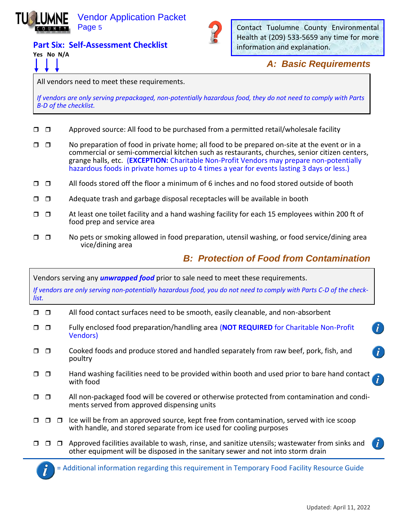

**Part Six: Self-Assessment Checklist**



Contact Tuolumne County Environmental Health at (209) 533-5659 any time for more information and explanation.

#### *A: Basic Requirements*

All vendors need to meet these requirements.

*If vendors are only serving prepackaged, non-potentially hazardous food, they do not need to comply with Parts B-D of the checklist.*

**Yes No N/A** 

- $\Box$   $\Box$  Approved source: All food to be purchased from a permitted retail/wholesale facility
- $\Box$  No preparation of food in private home; all food to be prepared on-site at the event or in a commercial or semi-commercial kitchen such as restaurants, churches, senior citizen centers, grange halls, etc. (**EXCEPTION:** Charitable Non-Profit Vendors may prepare non-potentially hazardous foods in private homes up to 4 times a year for events lasting 3 days or less.)
- $\Box$   $\Box$  All foods stored off the floor a minimum of 6 inches and no food stored outside of booth
- $\Box$   $\Box$  Adequate trash and garbage disposal receptacles will be available in booth
- $\Box$   $\Box$  At least one toilet facility and a hand washing facility for each 15 employees within 200 ft of food prep and service area
- $\Box$   $\Box$  No pets or smoking allowed in food preparation, utensil washing, or food service/dining area vice/dining area

#### *B: Protection of Food from Contamination*

| list.  |        |        | Vendors serving any <i>unwrapped food</i> prior to sale need to meet these requirements.<br>If vendors are only serving non-potentially hazardous food, you do not need to comply with Parts C-D of the check- |
|--------|--------|--------|----------------------------------------------------------------------------------------------------------------------------------------------------------------------------------------------------------------|
| $\Box$ | $\Box$ |        | All food contact surfaces need to be smooth, easily cleanable, and non-absorbent                                                                                                                               |
| п      | $\Box$ |        | Fully enclosed food preparation/handling area (NOT REQUIRED for Charitable Non-Profit<br><b>Vendors</b> )                                                                                                      |
|        | $\Box$ |        | Cooked foods and produce stored and handled separately from raw beef, pork, fish, and<br>$\tilde{l}$<br>poultry                                                                                                |
| П      | $\Box$ |        | Hand washing facilities need to be provided within booth and used prior to bare hand contact<br>with food                                                                                                      |
|        | $\Box$ |        | All non-packaged food will be covered or otherwise protected from contamination and condi-<br>ments served from approved dispensing units                                                                      |
|        |        | $\Box$ | Ice will be from an approved source, kept free from contamination, served with ice scoop<br>with handle, and stored separate from ice used for cooling purposes                                                |
|        |        |        | $\mathbf{i}$<br>Approved facilities available to wash, rinse, and sanitize utensils; wastewater from sinks and<br>other equipment will be disposed in the sanitary sewer and not into storm drain              |
|        |        |        |                                                                                                                                                                                                                |

= Additional information regarding this requirement in Temporary Food Facility Resource Guide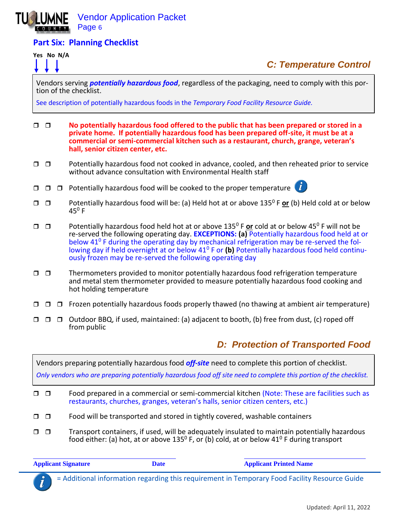

#### **Part Six: Planning Checklist**

#### **Yes No N/A**



# *C: Temperature Control*

Vendors serving *potentially hazardous food*, regardless of the packaging, need to comply with this portion of the checklist.

See description of potentially hazardous foods in the *Temporary Food Facility Resource Guide.* 

- **No potentially hazardous food offered to the public that has been prepared or stored in a private home. If potentially hazardous food has been prepared off-site, it must be at a commercial or semi-commercial kitchen such as a restaurant, church, grange, veteran's hall, senior citizen center, etc.**
- $\Box$   $\Box$  Potentially hazardous food not cooked in advance, cooled, and then reheated prior to service without advance consultation with Environmental Health staff
- $\Box$   $\Box$   $\Box$  Potentially hazardous food will be cooked to the proper temperature



- □ □ Potentially hazardous food will be: (a) Held hot at or above 135<sup>0</sup> F or (b) Held cold at or below  $45^{\circ}$  F
- $\Box$   $\Box$  Potentially hazardous food held hot at or above 135<sup>0</sup> F or cold at or below 45<sup>0</sup> F will not be re-served the following operating day. **EXCEPTIONS: (a)** Potentially hazardous food held at or below  $41^{\circ}$  F during the operating day by mechanical refrigeration may be re-served the following day if held overnight at or below 41<sup>0</sup> F or **(b)** Potentially hazardous food held continuously frozen may be re-served the following operating day
- $\Box$   $\Box$  Thermometers provided to monitor potentially hazardous food refrigeration temperature and metal stem thermometer provided to measure potentially hazardous food cooking and hot holding temperature
- $\Box$   $\Box$   $\Box$  Frozen potentially hazardous foods properly thawed (no thawing at ambient air temperature)
- $\Box$   $\Box$   $\Box$  Outdoor BBQ, if used, maintained: (a) adjacent to booth, (b) free from dust, (c) roped off from public

## *D: Protection of Transported Food*

Vendors preparing potentially hazardous food *off-site* need to complete this portion of checklist. *Only vendors who are preparing potentially hazardous food off site need to complete this portion of the checklist.*  Food prepared in a commercial or semi-commercial kitchen (Note: These are facilities such as restaurants, churches, granges, veteran's halls, senior citizen centers, etc.)  $\Box$   $\Box$  Food will be transported and stored in tightly covered, washable containers  $\Box$   $\Box$  Transport containers, if used, will be adequately insulated to maintain potentially hazardous food either: (a) hot, at or above 135<sup>0</sup> F, or (b) cold, at or below 41<sup>0</sup> F during transport

**Applicant Signature Date Applicant Printed Name**

= Additional information regarding this requirement in Temporary Food Facility Resource Guide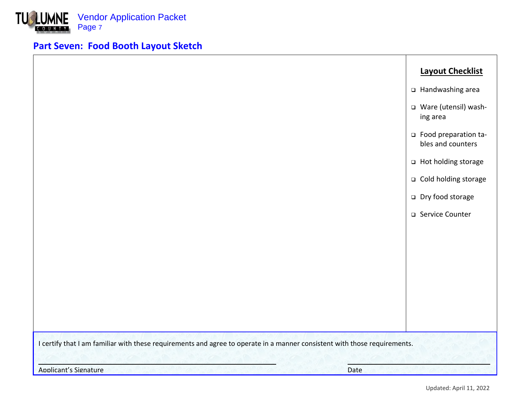

# **Part Seven: Food Booth Layout Sketch**

|                                                                                                                           | <b>Layout Checklist</b>                   |
|---------------------------------------------------------------------------------------------------------------------------|-------------------------------------------|
|                                                                                                                           | □ Handwashing area                        |
|                                                                                                                           | □ Ware (utensil) wash-<br>ing area        |
|                                                                                                                           | Food preparation ta-<br>bles and counters |
|                                                                                                                           | □ Hot holding storage                     |
|                                                                                                                           | □ Cold holding storage                    |
|                                                                                                                           | □ Dry food storage                        |
|                                                                                                                           | □ Service Counter                         |
|                                                                                                                           |                                           |
|                                                                                                                           |                                           |
|                                                                                                                           |                                           |
|                                                                                                                           |                                           |
|                                                                                                                           |                                           |
|                                                                                                                           |                                           |
| I certify that I am familiar with these requirements and agree to operate in a manner consistent with those requirements. |                                           |
| <b>Applicant's Signature</b><br>Date                                                                                      |                                           |